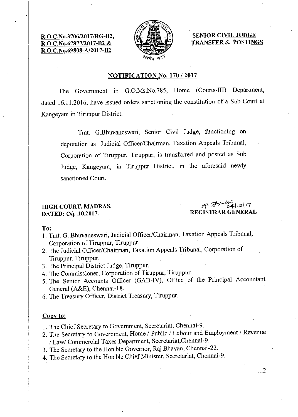R.O.C.No.3706/2017/RG-B2, R.O.C.No.67877/2017-82 & R.O.C.No.69808-A/2017-B2



SENIOR CIVIL JUDGE TRANSFER & POSTINGS

# NOTIFICATION No. 170 / 2017

The Government in G.O.Ms.No.785, Home (Courts-III) Department, dated 16.11.2016, have issued orders sanctioning the constitution of a Sub Court at Kangeyam in Tiruppur District.

Tmt. G.Bhuvaneswari, Senior Civil Judge, functioning on deputation as Judicial Officer/Chairman, Taxation Appeals Tribunal, Corporation of Tiruppur, Tiruppur, is transferred and posted as Sub Judge, Kangeyam, in Tiruppur District, in the aforesaid newly sanctioned Court.

# DATED: O4.10.2017.

HIGH COURT, MADRAS.<br>
DATED: OL. 10.2017 REGISTRAR GENERAL

### To:

- 1. Tmt. G. Bhuvaneswari, Judicial Officer/Chairman, Taxation Appeals Tribunal, Corporation of Tiruppur, Tiruppur.
- 2. The Judicial Officer/Chairman, Taxation Appeals Tribunal, Corporation of Tiruppur, Tiruppur.
- 3. The Principal District Judge, Tiruppur.
- 4. The Commissioner, Corporation of Tiruppur, Tiruppur.
- 5. The Senior Accounts Officer (GAD-IV), Office of the Principal Accountant General (A&E), Chennai-18.
- 6. The Treasury Officer, District Treasury, Tiruppur.

# Copy to:

1. The Chief Secretary to Government, Secretariat, Chennai-9.

- 2. The Secretary to Government, Home / Public / Labour and Employment / Revenue / Law/ Commercial Taxes Department, Secretariat,Chennai-9.
- 3. The Secretary to the Hon'ble Governor, Raj Bhavan, Chennai-22.
- 4. The Secretary to the Hon'ble Chief Minister, Secretariat, Chennai-9.

...2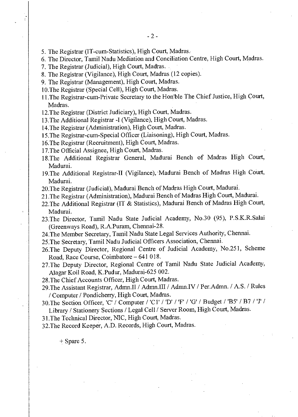- 5. The Registrar (IT-cum-Statistics), High Court, Madras.
- 6. The Director, Tamil Nadu Mediation and Conciliation Centre, High Court, Madras.
- 7. The Registrar (Judicial), High Court, Madras.
- 8. The Registrar (Vigilance), High Court, Madras (12 copies).
- 9. The Registrar (Management), High Court, Madras.
- 10.The Registrar (Special Cell), High Court, Madras.
- 11.The Registrar-cum-Private Secretary to the Hon'ble The Chief Justice, High Court, Madras.
- 12.The Registrar (District Judiciary), High Court, Madras.
- 13.The Additional Registrar -I (Vigilance), High Court, Madras.
- 14.The Registrar (Administration), High Court, Madras.
- 15.The Registrar-cum-Special Officer (Liaisoning), High Court, Madras.
- 16.The Registrar (Recruitment), High Court, Madras.
- 17.The Official Assignee, High Court, Madras.
- 18.The Additional Registrar General, Madurai Bench of Madras High Court, Madurai.
- 19.The Additional Registrar-II (Vigilance), Madurai Bench of Madras High Court, Madurai.
- 20.The Registrar (Judicial), Madurai Bench of Madras High Court, Madurai.
- 21.The Registrar (Administration), Madurai Bench of Madras High Court, Madurai.
- 22.The Additional Registrar (IT & Statistics), Madurai Bench of Madras High Court, Madurai.
- 23.The Director, Tamil Nadu State Judicial Academy, No.30 (95), P.S.K.R.Salai (Greenways Road), R.A.Puram, Chennai-28.
- 24.The Member Secretary, Tamil Nadu State Legal Services Authority, Chennai.
- 25.The Secretary, Tamil Nadu Judicial Officers Association, Chennai.
- 26.The Deputy Director, Regional Centre of Judicial Academy, No.251, Scheme Road, Race Course, Coimbatore —641 018.
- 27.The Deputy Director, Regional Centre of Tamil Nadu State Judicial Academy, Alagar Koil Road, K.Pudur, Madurai-625 002.
- 28.The Chief Accounts Officer, High Court, Madras.
- 29.The Assistant Registrar, Admn.II / Admn.III / Admn.IV / Per.Admn. / A.S. / Rules / Computer / Pondicherry, High Court, Madras.
- 30. The Section Officer, 'C' / Computer / 'C1' / 'D' / 'F' / 'G' / Budget / 'B5' / B7 / 'J' / Library / Stationery Sections / Legal Cell / Server Room, High Court, Madras.
- 31.The Technical Director, NIC, High Court, Madras.
- 32.The Record Keeper, A.D. Records, High Court, Madras.

 $+$  Spare 5.